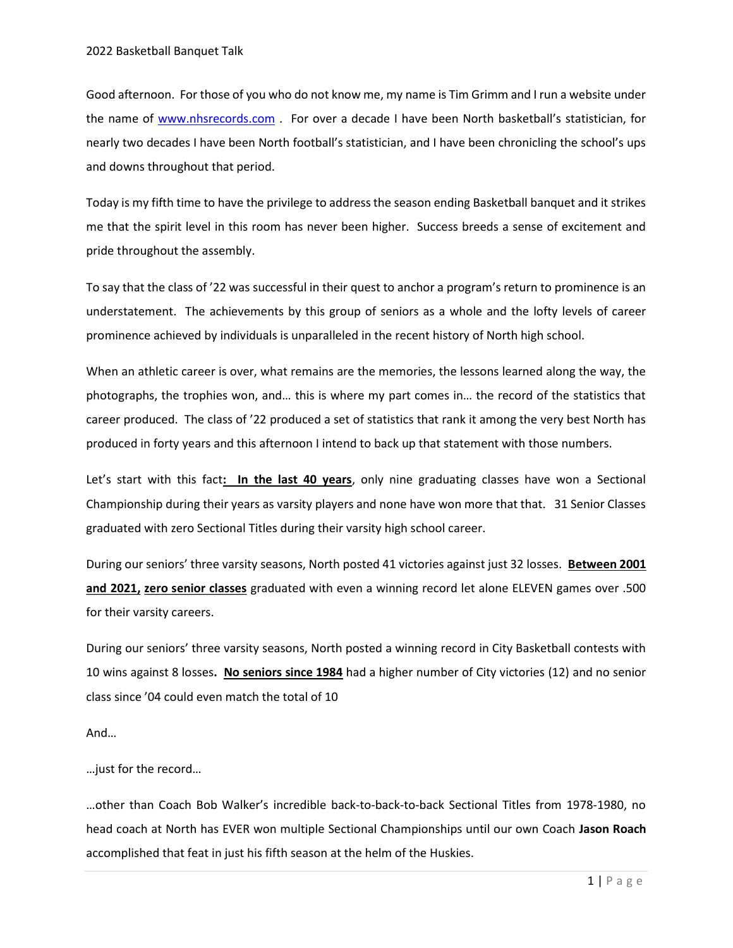Good afternoon. For those of you who do not know me, my name is Tim Grimm and I run a website under the name of www.nhsrecords.com . For over a decade I have been North basketball's statistician, for nearly two decades I have been North football's statistician, and I have been chronicling the school's ups and downs throughout that period.

Today is my fifth time to have the privilege to address the season ending Basketball banquet and it strikes me that the spirit level in this room has never been higher. Success breeds a sense of excitement and pride throughout the assembly.

To say that the class of '22 was successful in their quest to anchor a program's return to prominence is an understatement. The achievements by this group of seniors as a whole and the lofty levels of career prominence achieved by individuals is unparalleled in the recent history of North high school.

When an athletic career is over, what remains are the memories, the lessons learned along the way, the photographs, the trophies won, and… this is where my part comes in… the record of the statistics that career produced. The class of '22 produced a set of statistics that rank it among the very best North has produced in forty years and this afternoon I intend to back up that statement with those numbers.

Let's start with this fact: In the last 40 years, only nine graduating classes have won a Sectional Championship during their years as varsity players and none have won more that that. 31 Senior Classes graduated with zero Sectional Titles during their varsity high school career.

During our seniors' three varsity seasons, North posted 41 victories against just 32 losses. Between 2001 and 2021, zero senior classes graduated with even a winning record let alone ELEVEN games over .500 for their varsity careers.

During our seniors' three varsity seasons, North posted a winning record in City Basketball contests with 10 wins against 8 losses. No seniors since 1984 had a higher number of City victories (12) and no senior class since '04 could even match the total of 10

And…

…just for the record…

…other than Coach Bob Walker's incredible back-to-back-to-back Sectional Titles from 1978-1980, no head coach at North has EVER won multiple Sectional Championships until our own Coach Jason Roach accomplished that feat in just his fifth season at the helm of the Huskies.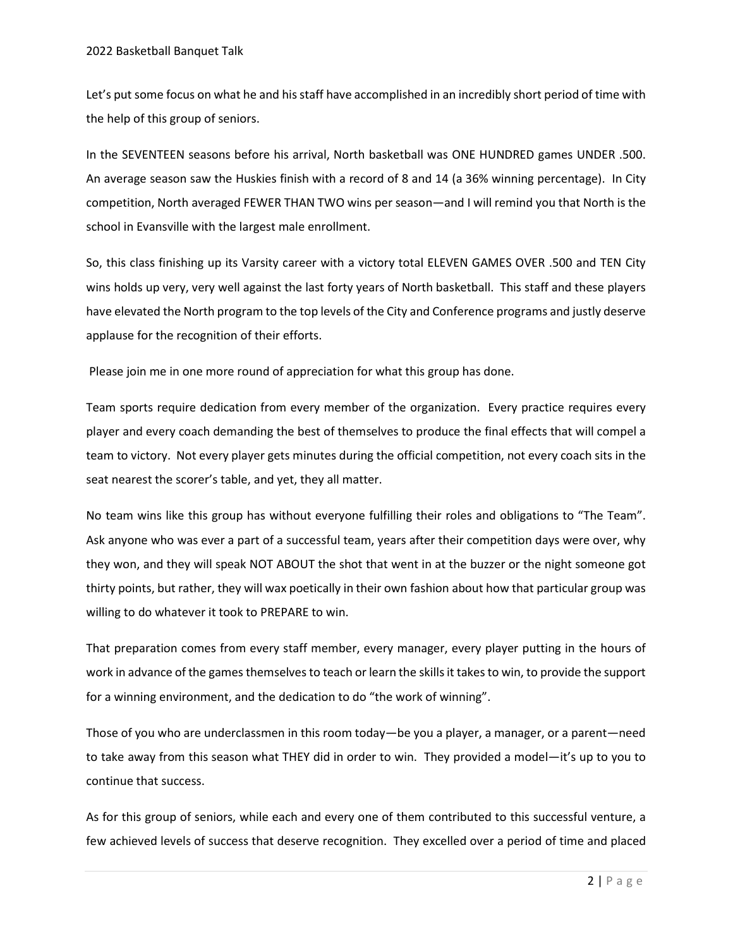Let's put some focus on what he and his staff have accomplished in an incredibly short period of time with the help of this group of seniors.

In the SEVENTEEN seasons before his arrival, North basketball was ONE HUNDRED games UNDER .500. An average season saw the Huskies finish with a record of 8 and 14 (a 36% winning percentage). In City competition, North averaged FEWER THAN TWO wins per season—and I will remind you that North is the school in Evansville with the largest male enrollment.

So, this class finishing up its Varsity career with a victory total ELEVEN GAMES OVER .500 and TEN City wins holds up very, very well against the last forty years of North basketball. This staff and these players have elevated the North program to the top levels of the City and Conference programs and justly deserve applause for the recognition of their efforts.

Please join me in one more round of appreciation for what this group has done.

Team sports require dedication from every member of the organization. Every practice requires every player and every coach demanding the best of themselves to produce the final effects that will compel a team to victory. Not every player gets minutes during the official competition, not every coach sits in the seat nearest the scorer's table, and yet, they all matter.

No team wins like this group has without everyone fulfilling their roles and obligations to "The Team". Ask anyone who was ever a part of a successful team, years after their competition days were over, why they won, and they will speak NOT ABOUT the shot that went in at the buzzer or the night someone got thirty points, but rather, they will wax poetically in their own fashion about how that particular group was willing to do whatever it took to PREPARE to win.

That preparation comes from every staff member, every manager, every player putting in the hours of work in advance of the games themselves to teach or learn the skills it takes to win, to provide the support for a winning environment, and the dedication to do "the work of winning".

Those of you who are underclassmen in this room today—be you a player, a manager, or a parent—need to take away from this season what THEY did in order to win. They provided a model—it's up to you to continue that success.

As for this group of seniors, while each and every one of them contributed to this successful venture, a few achieved levels of success that deserve recognition. They excelled over a period of time and placed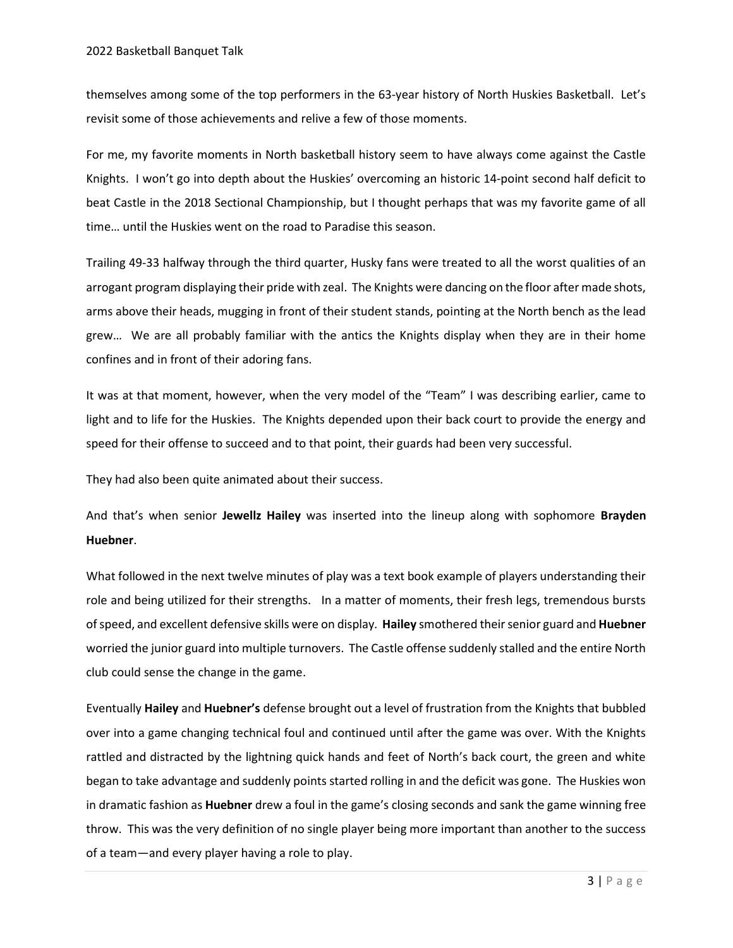themselves among some of the top performers in the 63-year history of North Huskies Basketball. Let's revisit some of those achievements and relive a few of those moments.

For me, my favorite moments in North basketball history seem to have always come against the Castle Knights. I won't go into depth about the Huskies' overcoming an historic 14-point second half deficit to beat Castle in the 2018 Sectional Championship, but I thought perhaps that was my favorite game of all time… until the Huskies went on the road to Paradise this season.

Trailing 49-33 halfway through the third quarter, Husky fans were treated to all the worst qualities of an arrogant program displaying their pride with zeal. The Knights were dancing on the floor after made shots, arms above their heads, mugging in front of their student stands, pointing at the North bench as the lead grew… We are all probably familiar with the antics the Knights display when they are in their home confines and in front of their adoring fans.

It was at that moment, however, when the very model of the "Team" I was describing earlier, came to light and to life for the Huskies. The Knights depended upon their back court to provide the energy and speed for their offense to succeed and to that point, their guards had been very successful.

They had also been quite animated about their success.

And that's when senior Jewellz Hailey was inserted into the lineup along with sophomore Brayden Huebner.

What followed in the next twelve minutes of play was a text book example of players understanding their role and being utilized for their strengths. In a matter of moments, their fresh legs, tremendous bursts of speed, and excellent defensive skills were on display. Hailey smothered their senior guard and Huebner worried the junior guard into multiple turnovers. The Castle offense suddenly stalled and the entire North club could sense the change in the game.

Eventually Hailey and Huebner's defense brought out a level of frustration from the Knights that bubbled over into a game changing technical foul and continued until after the game was over. With the Knights rattled and distracted by the lightning quick hands and feet of North's back court, the green and white began to take advantage and suddenly points started rolling in and the deficit was gone. The Huskies won in dramatic fashion as **Huebner** drew a foul in the game's closing seconds and sank the game winning free throw. This was the very definition of no single player being more important than another to the success of a team—and every player having a role to play.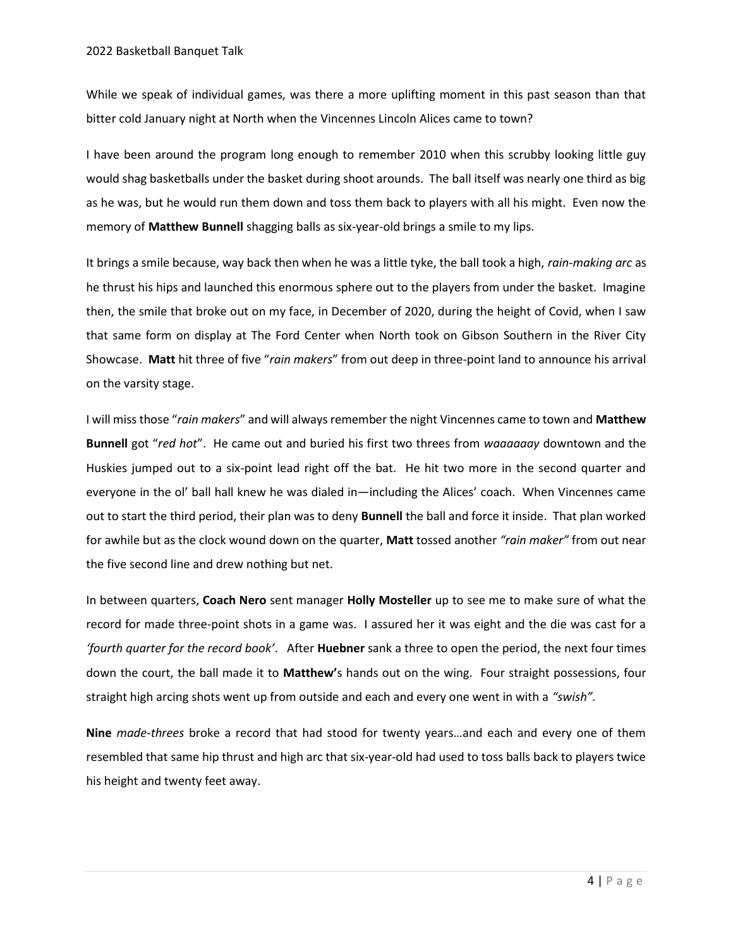While we speak of individual games, was there a more uplifting moment in this past season than that bitter cold January night at North when the Vincennes Lincoln Alices came to town?

I have been around the program long enough to remember 2010 when this scrubby looking little guy would shag basketballs under the basket during shoot arounds. The ball itself was nearly one third as big as he was, but he would run them down and toss them back to players with all his might. Even now the memory of Matthew Bunnell shagging balls as six-year-old brings a smile to my lips.

It brings a smile because, way back then when he was a little tyke, the ball took a high, rain-making arc as he thrust his hips and launched this enormous sphere out to the players from under the basket. Imagine then, the smile that broke out on my face, in December of 2020, during the height of Covid, when I saw that same form on display at The Ford Center when North took on Gibson Southern in the River City Showcase. Matt hit three of five "rain makers" from out deep in three-point land to announce his arrival on the varsity stage.

I will miss those "rain makers" and will always remember the night Vincennes came to town and Matthew Bunnell got "red hot". He came out and buried his first two threes from waaaaaay downtown and the Huskies jumped out to a six-point lead right off the bat. He hit two more in the second quarter and everyone in the ol' ball hall knew he was dialed in—including the Alices' coach. When Vincennes came out to start the third period, their plan was to deny **Bunnell** the ball and force it inside. That plan worked for awhile but as the clock wound down on the quarter, Matt tossed another "rain maker" from out near the five second line and drew nothing but net.

In between quarters, Coach Nero sent manager Holly Mosteller up to see me to make sure of what the record for made three-point shots in a game was. I assured her it was eight and the die was cast for a *fourth quarter for the record book'*. After **Huebner** sank a three to open the period, the next four times down the court, the ball made it to **Matthew'**s hands out on the wing. Four straight possessions, four straight high arcing shots went up from outside and each and every one went in with a "swish".

Nine made-threes broke a record that had stood for twenty years...and each and every one of them resembled that same hip thrust and high arc that six-year-old had used to toss balls back to players twice his height and twenty feet away.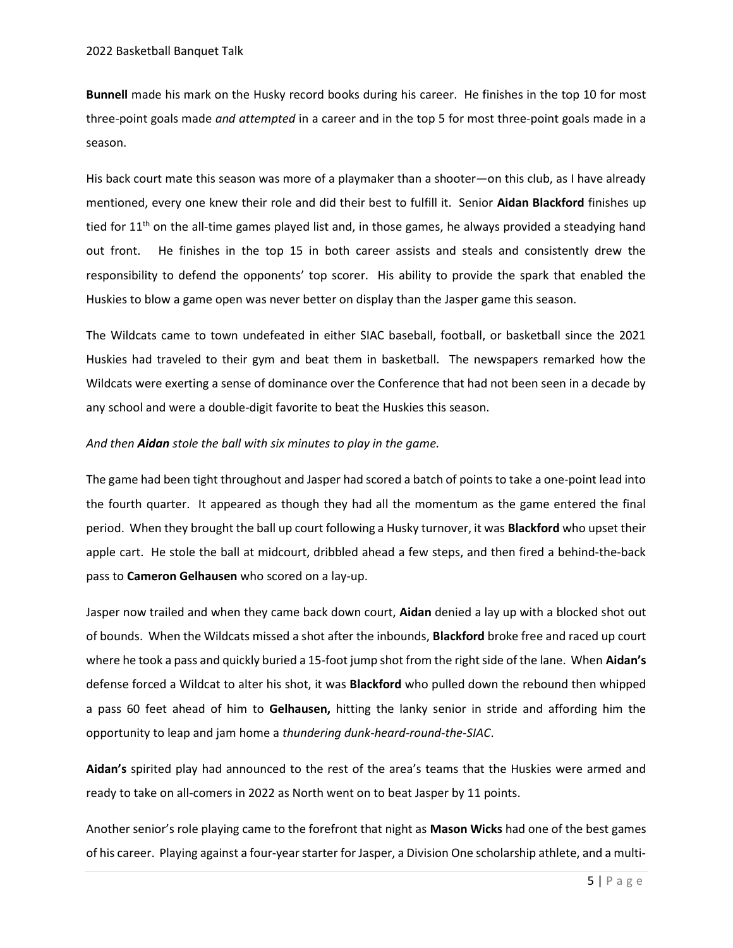Bunnell made his mark on the Husky record books during his career. He finishes in the top 10 for most three-point goals made and attempted in a career and in the top 5 for most three-point goals made in a season.

His back court mate this season was more of a playmaker than a shooter—on this club, as I have already mentioned, every one knew their role and did their best to fulfill it. Senior Aidan Blackford finishes up tied for  $11<sup>th</sup>$  on the all-time games played list and, in those games, he always provided a steadying hand out front. He finishes in the top 15 in both career assists and steals and consistently drew the responsibility to defend the opponents' top scorer. His ability to provide the spark that enabled the Huskies to blow a game open was never better on display than the Jasper game this season.

The Wildcats came to town undefeated in either SIAC baseball, football, or basketball since the 2021 Huskies had traveled to their gym and beat them in basketball. The newspapers remarked how the Wildcats were exerting a sense of dominance over the Conference that had not been seen in a decade by any school and were a double-digit favorite to beat the Huskies this season.

## And then Aidan stole the ball with six minutes to play in the game.

The game had been tight throughout and Jasper had scored a batch of points to take a one-point lead into the fourth quarter. It appeared as though they had all the momentum as the game entered the final period. When they brought the ball up court following a Husky turnover, it was **Blackford** who upset their apple cart. He stole the ball at midcourt, dribbled ahead a few steps, and then fired a behind-the-back pass to Cameron Gelhausen who scored on a lay-up.

Jasper now trailed and when they came back down court, Aidan denied a lay up with a blocked shot out of bounds. When the Wildcats missed a shot after the inbounds, Blackford broke free and raced up court where he took a pass and quickly buried a 15-foot jump shot from the right side of the lane. When Aidan's defense forced a Wildcat to alter his shot, it was **Blackford** who pulled down the rebound then whipped a pass 60 feet ahead of him to Gelhausen, hitting the lanky senior in stride and affording him the opportunity to leap and jam home a thundering dunk-heard-round-the-SIAC.

Aidan's spirited play had announced to the rest of the area's teams that the Huskies were armed and ready to take on all-comers in 2022 as North went on to beat Jasper by 11 points.

Another senior's role playing came to the forefront that night as Mason Wicks had one of the best games of his career. Playing against a four-year starter for Jasper, a Division One scholarship athlete, and a multi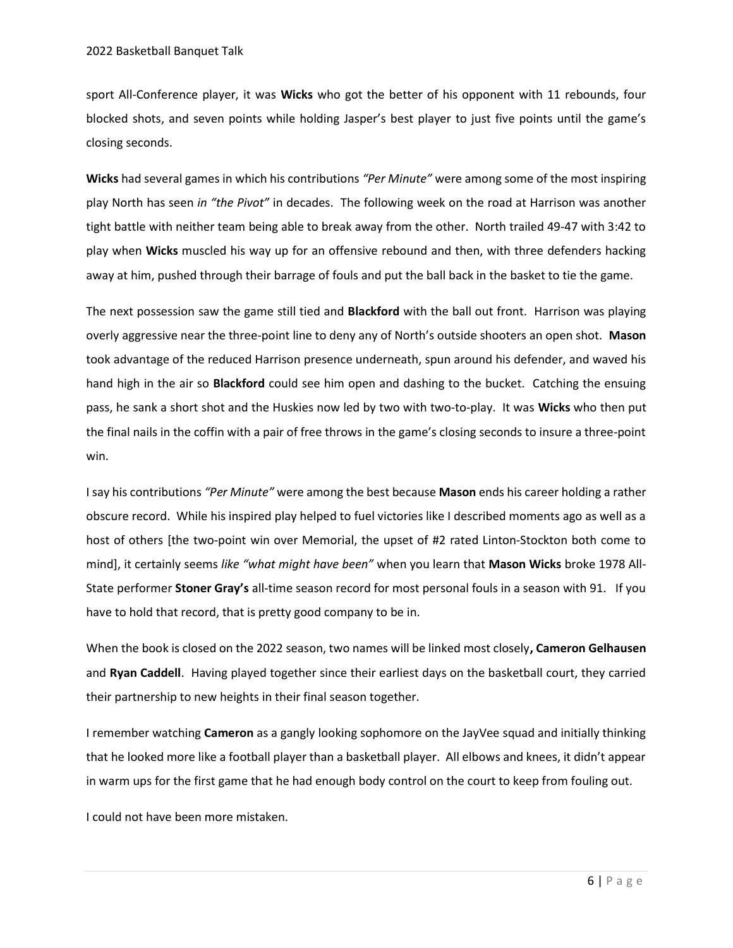sport All-Conference player, it was Wicks who got the better of his opponent with 11 rebounds, four blocked shots, and seven points while holding Jasper's best player to just five points until the game's closing seconds.

Wicks had several games in which his contributions "Per Minute" were among some of the most inspiring play North has seen in "the Pivot" in decades. The following week on the road at Harrison was another tight battle with neither team being able to break away from the other. North trailed 49-47 with 3:42 to play when Wicks muscled his way up for an offensive rebound and then, with three defenders hacking away at him, pushed through their barrage of fouls and put the ball back in the basket to tie the game.

The next possession saw the game still tied and Blackford with the ball out front. Harrison was playing overly aggressive near the three-point line to deny any of North's outside shooters an open shot. Mason took advantage of the reduced Harrison presence underneath, spun around his defender, and waved his hand high in the air so **Blackford** could see him open and dashing to the bucket. Catching the ensuing pass, he sank a short shot and the Huskies now led by two with two-to-play. It was Wicks who then put the final nails in the coffin with a pair of free throws in the game's closing seconds to insure a three-point win.

I say his contributions "Per Minute" were among the best because Mason ends his career holding a rather obscure record. While his inspired play helped to fuel victories like I described moments ago as well as a host of others [the two-point win over Memorial, the upset of #2 rated Linton-Stockton both come to mind], it certainly seems like "what might have been" when you learn that Mason Wicks broke 1978 All-State performer Stoner Gray's all-time season record for most personal fouls in a season with 91. If you have to hold that record, that is pretty good company to be in.

When the book is closed on the 2022 season, two names will be linked most closely, Cameron Gelhausen and Ryan Caddell. Having played together since their earliest days on the basketball court, they carried their partnership to new heights in their final season together.

I remember watching Cameron as a gangly looking sophomore on the JayVee squad and initially thinking that he looked more like a football player than a basketball player. All elbows and knees, it didn't appear in warm ups for the first game that he had enough body control on the court to keep from fouling out.

I could not have been more mistaken.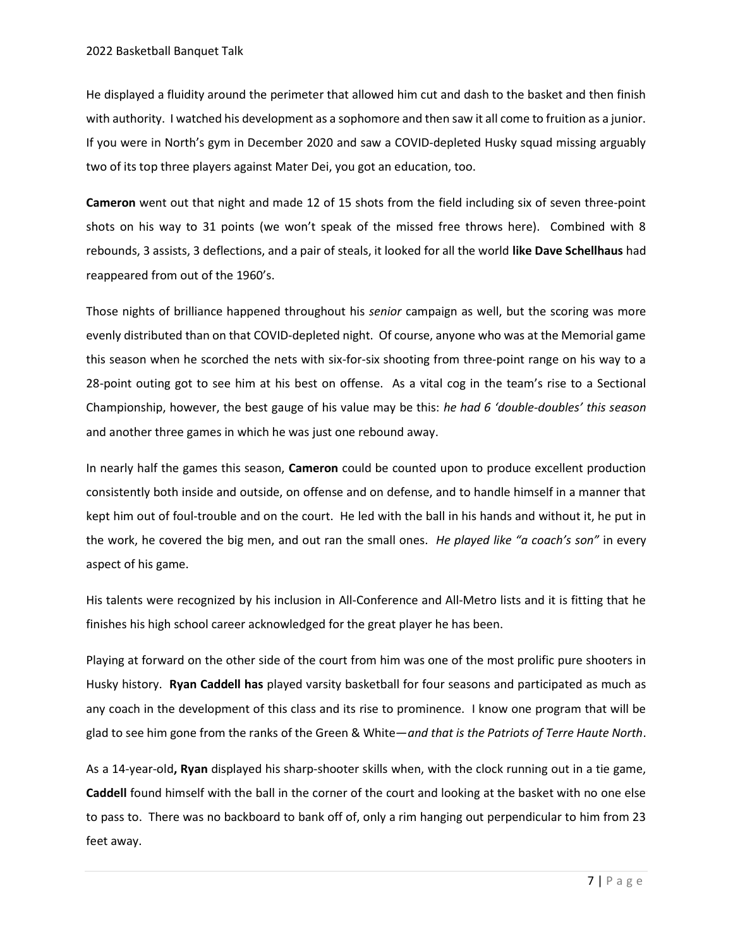He displayed a fluidity around the perimeter that allowed him cut and dash to the basket and then finish with authority. I watched his development as a sophomore and then saw it all come to fruition as a junior. If you were in North's gym in December 2020 and saw a COVID-depleted Husky squad missing arguably two of its top three players against Mater Dei, you got an education, too.

Cameron went out that night and made 12 of 15 shots from the field including six of seven three-point shots on his way to 31 points (we won't speak of the missed free throws here). Combined with 8 rebounds, 3 assists, 3 deflections, and a pair of steals, it looked for all the world like Dave Schellhaus had reappeared from out of the 1960's.

Those nights of brilliance happened throughout his senior campaign as well, but the scoring was more evenly distributed than on that COVID-depleted night. Of course, anyone who was at the Memorial game this season when he scorched the nets with six-for-six shooting from three-point range on his way to a 28-point outing got to see him at his best on offense. As a vital cog in the team's rise to a Sectional Championship, however, the best gauge of his value may be this: he had 6 'double-doubles' this season and another three games in which he was just one rebound away.

In nearly half the games this season, Cameron could be counted upon to produce excellent production consistently both inside and outside, on offense and on defense, and to handle himself in a manner that kept him out of foul-trouble and on the court. He led with the ball in his hands and without it, he put in the work, he covered the big men, and out ran the small ones. He played like "a coach's son" in every aspect of his game.

His talents were recognized by his inclusion in All-Conference and All-Metro lists and it is fitting that he finishes his high school career acknowledged for the great player he has been.

Playing at forward on the other side of the court from him was one of the most prolific pure shooters in Husky history. Ryan Caddell has played varsity basketball for four seasons and participated as much as any coach in the development of this class and its rise to prominence. I know one program that will be glad to see him gone from the ranks of the Green & White—and that is the Patriots of Terre Haute North.

As a 14-year-old, Ryan displayed his sharp-shooter skills when, with the clock running out in a tie game, Caddell found himself with the ball in the corner of the court and looking at the basket with no one else to pass to. There was no backboard to bank off of, only a rim hanging out perpendicular to him from 23 feet away.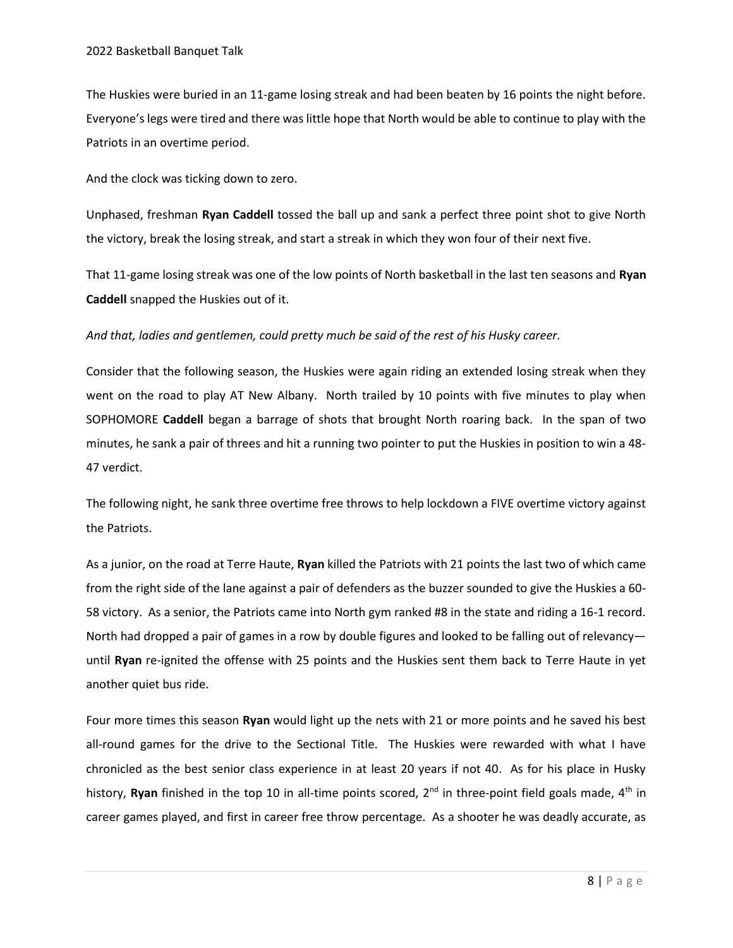The Huskies were buried in an 11-game losing streak and had been beaten by 16 points the night before. Everyone's legs were tired and there was little hope that North would be able to continue to play with the Patriots in an overtime period.

And the clock was ticking down to zero.

Unphased, freshman Ryan Caddell tossed the ball up and sank a perfect three point shot to give North the victory, break the losing streak, and start a streak in which they won four of their next five.

That 11-game losing streak was one of the low points of North basketball in the last ten seasons and Ryan Caddell snapped the Huskies out of it.

## And that, ladies and gentlemen, could pretty much be said of the rest of his Husky career.

Consider that the following season, the Huskies were again riding an extended losing streak when they went on the road to play AT New Albany. North trailed by 10 points with five minutes to play when SOPHOMORE Caddell began a barrage of shots that brought North roaring back. In the span of two minutes, he sank a pair of threes and hit a running two pointer to put the Huskies in position to win a 48- 47 verdict.

The following night, he sank three overtime free throws to help lockdown a FIVE overtime victory against the Patriots.

As a junior, on the road at Terre Haute, Ryan killed the Patriots with 21 points the last two of which came from the right side of the lane against a pair of defenders as the buzzer sounded to give the Huskies a 60- 58 victory. As a senior, the Patriots came into North gym ranked #8 in the state and riding a 16-1 record. North had dropped a pair of games in a row by double figures and looked to be falling out of relevancy until Ryan re-ignited the offense with 25 points and the Huskies sent them back to Terre Haute in yet another quiet bus ride.

Four more times this season Ryan would light up the nets with 21 or more points and he saved his best all-round games for the drive to the Sectional Title. The Huskies were rewarded with what I have chronicled as the best senior class experience in at least 20 years if not 40. As for his place in Husky history, Ryan finished in the top 10 in all-time points scored,  $2^{nd}$  in three-point field goals made,  $4^{th}$  in career games played, and first in career free throw percentage. As a shooter he was deadly accurate, as